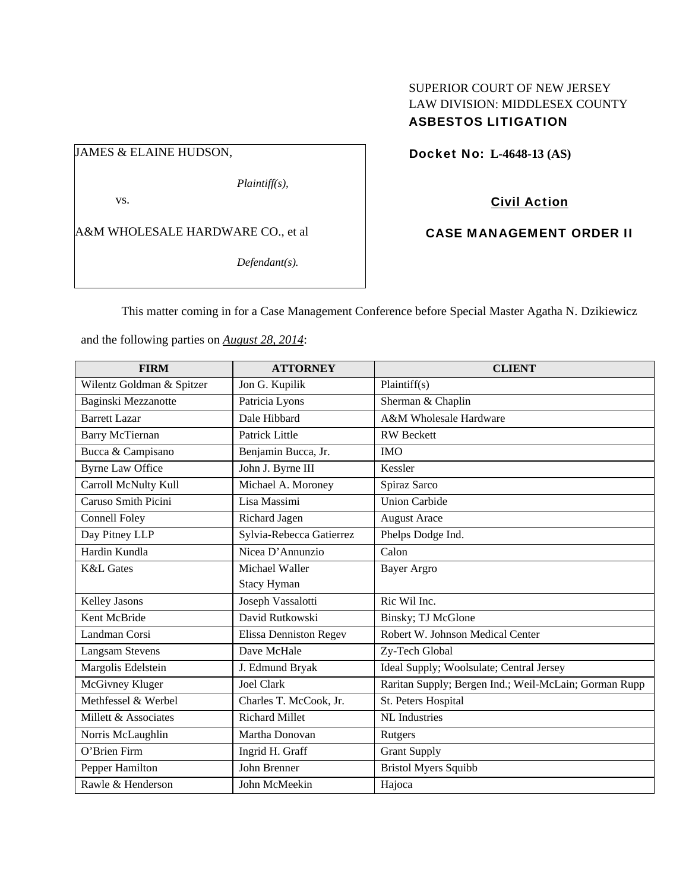## SUPERIOR COURT OF NEW JERSEY LAW DIVISION: MIDDLESEX COUNTY ASBESTOS LITIGATION

# JAMES & ELAINE HUDSON,

*Plaintiff(s),* 

vs.

A&M WHOLESALE HARDWARE CO., et al

*Defendant(s).* 

Docket No: **L-4648-13 (AS)** 

# Civil Action

## CASE MANAGEMENT ORDER II

This matter coming in for a Case Management Conference before Special Master Agatha N. Dzikiewicz

and the following parties on *August 28, 2014*:

| <b>FIRM</b>               | <b>ATTORNEY</b>               | <b>CLIENT</b>                                         |
|---------------------------|-------------------------------|-------------------------------------------------------|
| Wilentz Goldman & Spitzer | Jon G. Kupilik                | Plaintiff(s)                                          |
| Baginski Mezzanotte       | Patricia Lyons                | Sherman & Chaplin                                     |
| <b>Barrett Lazar</b>      | Dale Hibbard                  | A&M Wholesale Hardware                                |
| <b>Barry McTiernan</b>    | <b>Patrick Little</b>         | <b>RW</b> Beckett                                     |
| Bucca & Campisano         | Benjamin Bucca, Jr.           | <b>IMO</b>                                            |
| <b>Byrne Law Office</b>   | John J. Byrne III             | Kessler                                               |
| Carroll McNulty Kull      | Michael A. Moroney            | Spiraz Sarco                                          |
| Caruso Smith Picini       | Lisa Massimi                  | <b>Union Carbide</b>                                  |
| <b>Connell Foley</b>      | Richard Jagen                 | <b>August Arace</b>                                   |
| Day Pitney LLP            | Sylvia-Rebecca Gatierrez      | Phelps Dodge Ind.                                     |
| Hardin Kundla             | Nicea D'Annunzio              | Calon                                                 |
| <b>K&amp;L</b> Gates      | Michael Waller                | <b>Bayer Argro</b>                                    |
|                           | <b>Stacy Hyman</b>            |                                                       |
| <b>Kelley Jasons</b>      | Joseph Vassalotti             | Ric Wil Inc.                                          |
| Kent McBride              | David Rutkowski               | Binsky; TJ McGlone                                    |
| Landman Corsi             | <b>Elissa Denniston Regev</b> | Robert W. Johnson Medical Center                      |
| <b>Langsam Stevens</b>    | Dave McHale                   | Zy-Tech Global                                        |
| Margolis Edelstein        | J. Edmund Bryak               | Ideal Supply; Woolsulate; Central Jersey              |
| McGivney Kluger           | <b>Joel Clark</b>             | Raritan Supply; Bergen Ind.; Weil-McLain; Gorman Rupp |
| Methfessel & Werbel       | Charles T. McCook, Jr.        | St. Peters Hospital                                   |
| Millett & Associates      | <b>Richard Millet</b>         | <b>NL</b> Industries                                  |
| Norris McLaughlin         | Martha Donovan                | Rutgers                                               |
| O'Brien Firm              | Ingrid H. Graff               | <b>Grant Supply</b>                                   |
| Pepper Hamilton           | John Brenner                  | <b>Bristol Myers Squibb</b>                           |
| Rawle & Henderson         | John McMeekin                 | Hajoca                                                |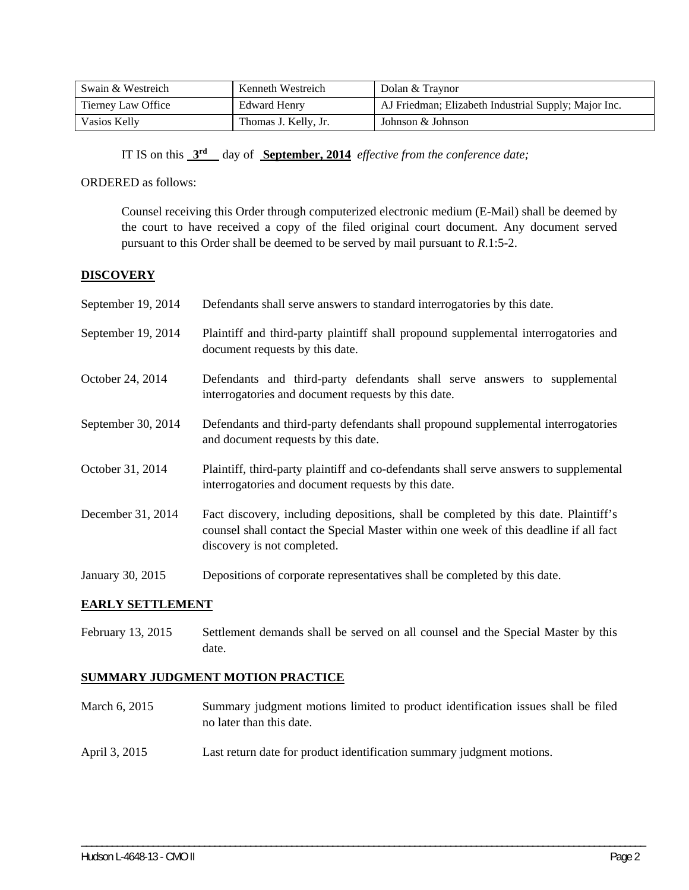| Swain & Westreich  | Kenneth Westreich    | Dolan & Traynor                                      |
|--------------------|----------------------|------------------------------------------------------|
| Tierney Law Office | Edward Henry         | AJ Friedman; Elizabeth Industrial Supply; Major Inc. |
| Vasios Kelly       | Thomas J. Kelly, Jr. | Johnson & Johnson                                    |

IT IS on this **3rd** day of **September, 2014** *effective from the conference date;*

ORDERED as follows:

Counsel receiving this Order through computerized electronic medium (E-Mail) shall be deemed by the court to have received a copy of the filed original court document. Any document served pursuant to this Order shall be deemed to be served by mail pursuant to *R*.1:5-2.

#### **DISCOVERY**

| September 19, 2014 | Defendants shall serve answers to standard interrogatories by this date.                                                                                                                                    |
|--------------------|-------------------------------------------------------------------------------------------------------------------------------------------------------------------------------------------------------------|
| September 19, 2014 | Plaintiff and third-party plaintiff shall propound supplemental interrogatories and<br>document requests by this date.                                                                                      |
| October 24, 2014   | Defendants and third-party defendants shall serve answers to supplemental<br>interrogatories and document requests by this date.                                                                            |
| September 30, 2014 | Defendants and third-party defendants shall propound supplemental interrogatories<br>and document requests by this date.                                                                                    |
| October 31, 2014   | Plaintiff, third-party plaintiff and co-defendants shall serve answers to supplemental<br>interrogatories and document requests by this date.                                                               |
| December 31, 2014  | Fact discovery, including depositions, shall be completed by this date. Plaintiff's<br>counsel shall contact the Special Master within one week of this deadline if all fact<br>discovery is not completed. |
| January 30, 2015   | Depositions of corporate representatives shall be completed by this date.                                                                                                                                   |

#### **EARLY SETTLEMENT**

February 13, 2015 Settlement demands shall be served on all counsel and the Special Master by this date.

### **SUMMARY JUDGMENT MOTION PRACTICE**

March 6, 2015 Summary judgment motions limited to product identification issues shall be filed no later than this date.

\_\_\_\_\_\_\_\_\_\_\_\_\_\_\_\_\_\_\_\_\_\_\_\_\_\_\_\_\_\_\_\_\_\_\_\_\_\_\_\_\_\_\_\_\_\_\_\_\_\_\_\_\_\_\_\_\_\_\_\_\_\_\_\_\_\_\_\_\_\_\_\_\_\_\_\_\_\_\_\_\_\_\_\_\_\_\_\_\_\_\_\_\_\_\_\_\_\_\_\_\_\_\_\_\_\_\_\_\_\_

April 3, 2015 Last return date for product identification summary judgment motions.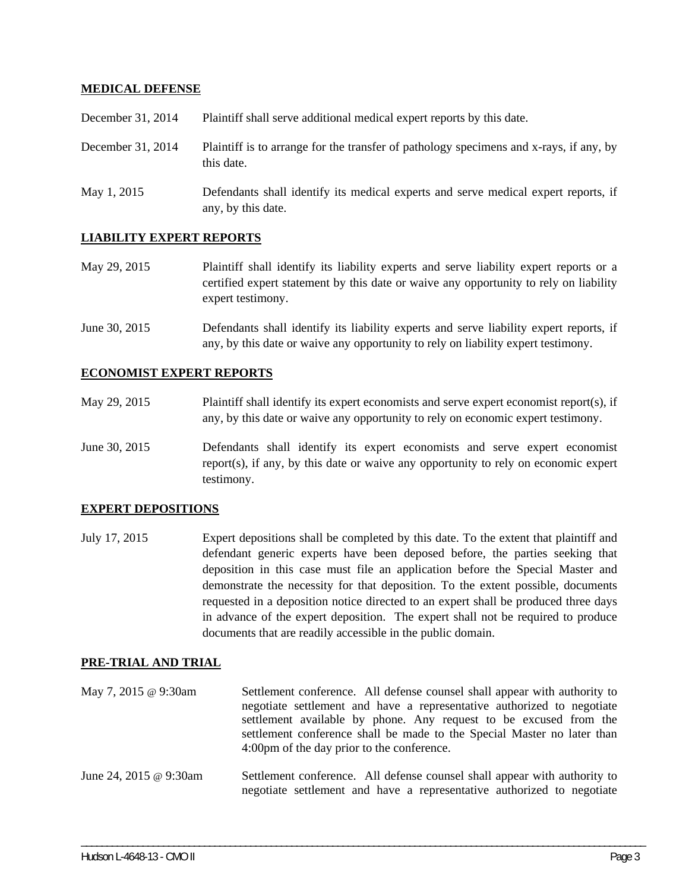### **MEDICAL DEFENSE**

| December 31, 2014 | Plaintiff shall serve additional medical expert reports by this date.                                    |
|-------------------|----------------------------------------------------------------------------------------------------------|
| December 31, 2014 | Plaintiff is to arrange for the transfer of pathology specimens and x-rays, if any, by<br>this date.     |
| May 1, 2015       | Defendants shall identify its medical experts and serve medical expert reports, if<br>any, by this date. |

### **LIABILITY EXPERT REPORTS**

- May 29, 2015 Plaintiff shall identify its liability experts and serve liability expert reports or a certified expert statement by this date or waive any opportunity to rely on liability expert testimony.
- June 30, 2015 Defendants shall identify its liability experts and serve liability expert reports, if any, by this date or waive any opportunity to rely on liability expert testimony.

#### **ECONOMIST EXPERT REPORTS**

- May 29, 2015 Plaintiff shall identify its expert economists and serve expert economist report(s), if any, by this date or waive any opportunity to rely on economic expert testimony.
- June 30, 2015 Defendants shall identify its expert economists and serve expert economist report(s), if any, by this date or waive any opportunity to rely on economic expert testimony.

#### **EXPERT DEPOSITIONS**

July 17, 2015 Expert depositions shall be completed by this date. To the extent that plaintiff and defendant generic experts have been deposed before, the parties seeking that deposition in this case must file an application before the Special Master and demonstrate the necessity for that deposition. To the extent possible, documents requested in a deposition notice directed to an expert shall be produced three days in advance of the expert deposition. The expert shall not be required to produce documents that are readily accessible in the public domain.

#### **PRE-TRIAL AND TRIAL**

- May 7, 2015 @ 9:30am Settlement conference. All defense counsel shall appear with authority to negotiate settlement and have a representative authorized to negotiate settlement available by phone. Any request to be excused from the settlement conference shall be made to the Special Master no later than 4:00pm of the day prior to the conference.
- June 24, 2015 @ 9:30am Settlement conference. All defense counsel shall appear with authority to negotiate settlement and have a representative authorized to negotiate

\_\_\_\_\_\_\_\_\_\_\_\_\_\_\_\_\_\_\_\_\_\_\_\_\_\_\_\_\_\_\_\_\_\_\_\_\_\_\_\_\_\_\_\_\_\_\_\_\_\_\_\_\_\_\_\_\_\_\_\_\_\_\_\_\_\_\_\_\_\_\_\_\_\_\_\_\_\_\_\_\_\_\_\_\_\_\_\_\_\_\_\_\_\_\_\_\_\_\_\_\_\_\_\_\_\_\_\_\_\_